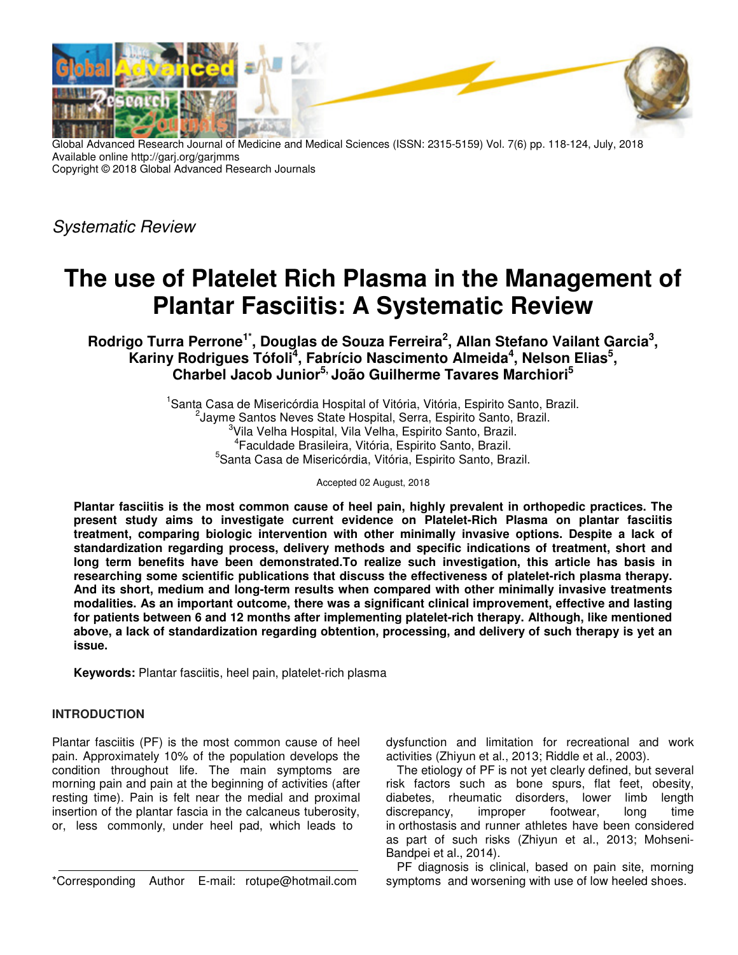

Global Advanced Research Journal of Medicine and Medical Sciences (ISSN: 2315-5159) Vol. 7(6) pp. 118-124, July, 2018 Available online http://garj.org/garjmms Copyright © 2018 Global Advanced Research Journals

Systematic Review

# **The use of Platelet Rich Plasma in the Management of Plantar Fasciitis: A Systematic Review**

**Rodrigo Turra Perrone1\*, Douglas de Souza Ferreira<sup>2</sup> , Allan Stefano Vailant Garcia<sup>3</sup> , Kariny Rodrigues Tófoli<sup>4</sup> , Fabrício Nascimento Almeida<sup>4</sup> , Nelson Elias<sup>5</sup> , Charbel Jacob Junior5, João Guilherme Tavares Marchiori<sup>5</sup>**

> <sup>1</sup>Santa Casa de Misericórdia Hospital of Vitória, Vitória, Espirito Santo, Brazil. <sup>2</sup>Jayme Santos Neves State Hospital, Serra, Espirito Santo, Brazil. <sup>3</sup>Vila Velha Hospital, Vila Velha, Espirito Santo, Brazil. 4 Faculdade Brasileira, Vitória, Espirito Santo, Brazil. 5 Santa Casa de Misericórdia, Vitória, Espirito Santo, Brazil.

> > Accepted 02 August, 2018

**Plantar fasciitis is the most common cause of heel pain, highly prevalent in orthopedic practices. The present study aims to investigate current evidence on Platelet-Rich Plasma on plantar fasciitis treatment, comparing biologic intervention with other minimally invasive options. Despite a lack of standardization regarding process, delivery methods and specific indications of treatment, short and long term benefits have been demonstrated.To realize such investigation, this article has basis in researching some scientific publications that discuss the effectiveness of platelet-rich plasma therapy. And its short, medium and long-term results when compared with other minimally invasive treatments modalities. As an important outcome, there was a significant clinical improvement, effective and lasting for patients between 6 and 12 months after implementing platelet-rich therapy. Although, like mentioned above, a lack of standardization regarding obtention, processing, and delivery of such therapy is yet an issue.** 

**Keywords:** Plantar fasciitis, heel pain, platelet-rich plasma

## **INTRODUCTION**

Plantar fasciitis (PF) is the most common cause of heel pain. Approximately 10% of the population develops the condition throughout life. The main symptoms are morning pain and pain at the beginning of activities (after resting time). Pain is felt near the medial and proximal insertion of the plantar fascia in the calcaneus tuberosity, or, less commonly, under heel pad, which leads to

\*Corresponding Author E-mail: rotupe@hotmail.com

dysfunction and limitation for recreational and work activities (Zhiyun et al., 2013; Riddle et al., 2003).

The etiology of PF is not yet clearly defined, but several risk factors such as bone spurs, flat feet, obesity, diabetes, rheumatic disorders, lower limb length discrepancy, improper footwear, long time in orthostasis and runner athletes have been considered as part of such risks (Zhiyun et al., 2013; Mohseni-Bandpei et al., 2014).

PF diagnosis is clinical, based on pain site, morning symptoms and worsening with use of low heeled shoes.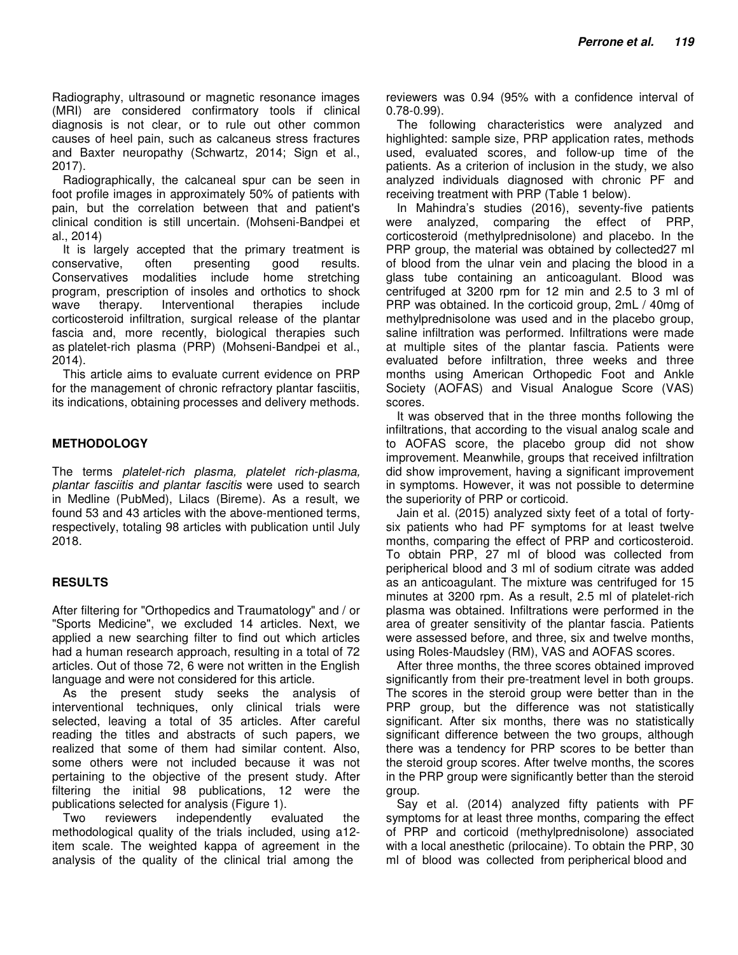Radiography, ultrasound or magnetic resonance images (MRI) are considered confirmatory tools if clinical diagnosis is not clear, or to rule out other common causes of heel pain, such as calcaneus stress fractures and Baxter neuropathy (Schwartz, 2014; Sign et al., 2017).

Radiographically, the calcaneal spur can be seen in foot profile images in approximately 50% of patients with pain, but the correlation between that and patient's clinical condition is still uncertain. (Mohseni-Bandpei et al., 2014)

It is largely accepted that the primary treatment is conservative, often presenting good results. Conservatives modalities include home stretching program, prescription of insoles and orthotics to shock wave therapy. Interventional therapies include corticosteroid infiltration, surgical release of the plantar fascia and, more recently, biological therapies such as platelet-rich plasma (PRP) (Mohseni-Bandpei et al., 2014).

This article aims to evaluate current evidence on PRP for the management of chronic refractory plantar fasciitis, its indications, obtaining processes and delivery methods.

## **METHODOLOGY**

The terms platelet-rich plasma, platelet rich-plasma, plantar fasciitis and plantar fascitis were used to search in Medline (PubMed), Lilacs (Bireme). As a result, we found 53 and 43 articles with the above-mentioned terms, respectively, totaling 98 articles with publication until July 2018.

## **RESULTS**

After filtering for "Orthopedics and Traumatology" and / or "Sports Medicine", we excluded 14 articles. Next, we applied a new searching filter to find out which articles had a human research approach, resulting in a total of 72 articles. Out of those 72, 6 were not written in the English language and were not considered for this article.

As the present study seeks the analysis of interventional techniques, only clinical trials were selected, leaving a total of 35 articles. After careful reading the titles and abstracts of such papers, we realized that some of them had similar content. Also, some others were not included because it was not pertaining to the objective of the present study. After filtering the initial 98 publications, 12 were the publications selected for analysis (Figure 1).

Two reviewers independently evaluated the methodological quality of the trials included, using a12 item scale. The weighted kappa of agreement in the analysis of the quality of the clinical trial among the

reviewers was 0.94 (95% with a confidence interval of 0.78-0.99).

The following characteristics were analyzed and highlighted: sample size, PRP application rates, methods used, evaluated scores, and follow-up time of the patients. As a criterion of inclusion in the study, we also analyzed individuals diagnosed with chronic PF and receiving treatment with PRP (Table 1 below).

In Mahindra's studies (2016), seventy-five patients were analyzed, comparing the effect of PRP, corticosteroid (methylprednisolone) and placebo. In the PRP group, the material was obtained by collected27 ml of blood from the ulnar vein and placing the blood in a glass tube containing an anticoagulant. Blood was centrifuged at 3200 rpm for 12 min and 2.5 to 3 ml of PRP was obtained. In the corticoid group, 2mL / 40mg of methylprednisolone was used and in the placebo group, saline infiltration was performed. Infiltrations were made at multiple sites of the plantar fascia. Patients were evaluated before infiltration, three weeks and three months using American Orthopedic Foot and Ankle Society (AOFAS) and Visual Analogue Score (VAS) scores.

It was observed that in the three months following the infiltrations, that according to the visual analog scale and to AOFAS score, the placebo group did not show improvement. Meanwhile, groups that received infiltration did show improvement, having a significant improvement in symptoms. However, it was not possible to determine the superiority of PRP or corticoid.

Jain et al. (2015) analyzed sixty feet of a total of fortysix patients who had PF symptoms for at least twelve months, comparing the effect of PRP and corticosteroid. To obtain PRP, 27 ml of blood was collected from peripherical blood and 3 ml of sodium citrate was added as an anticoagulant. The mixture was centrifuged for 15 minutes at 3200 rpm. As a result, 2.5 ml of platelet-rich plasma was obtained. Infiltrations were performed in the area of greater sensitivity of the plantar fascia. Patients were assessed before, and three, six and twelve months, using Roles-Maudsley (RM), VAS and AOFAS scores.

After three months, the three scores obtained improved significantly from their pre-treatment level in both groups. The scores in the steroid group were better than in the PRP group, but the difference was not statistically significant. After six months, there was no statistically significant difference between the two groups, although there was a tendency for PRP scores to be better than the steroid group scores. After twelve months, the scores in the PRP group were significantly better than the steroid group.

Say et al. (2014) analyzed fifty patients with PF symptoms for at least three months, comparing the effect of PRP and corticoid (methylprednisolone) associated with a local anesthetic (prilocaine). To obtain the PRP, 30 ml of blood was collected from peripherical blood and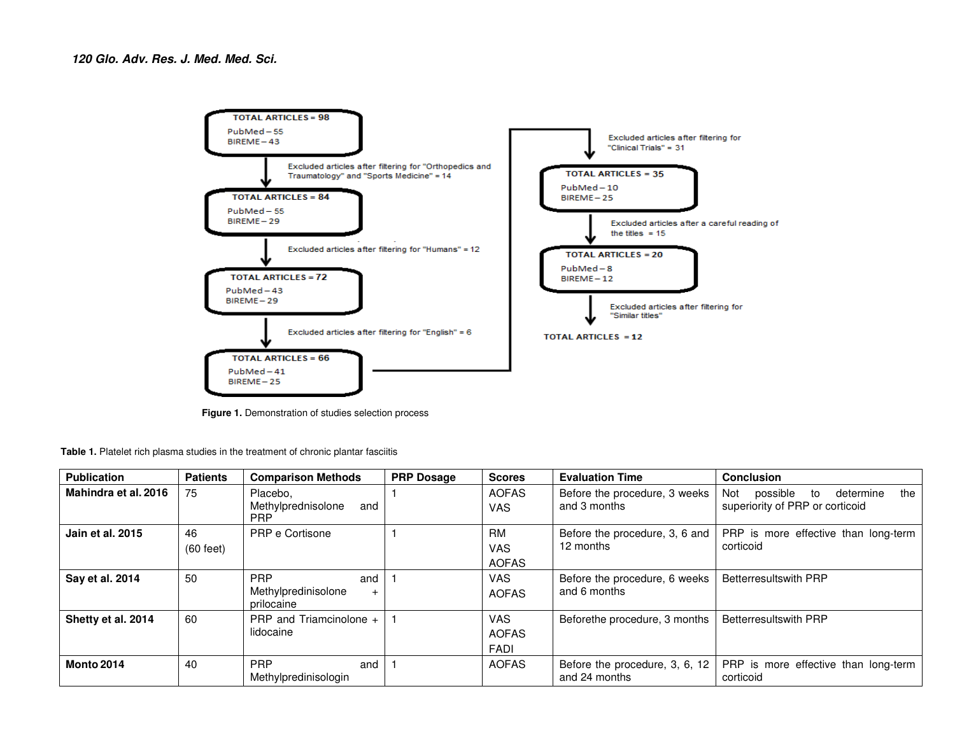

**Figure 1.** Demonstration of studies selection process

**Table 1.** Platelet rich plasma studies in the treatment of chronic plantar fasciitis

| <b>Publication</b>   | <b>Patients</b>           | <b>Comparison Methods</b>                              | <b>PRP Dosage</b> | <b>Scores</b>                             | <b>Evaluation Time</b>                          | <b>Conclusion</b>                                                            |
|----------------------|---------------------------|--------------------------------------------------------|-------------------|-------------------------------------------|-------------------------------------------------|------------------------------------------------------------------------------|
| Mahindra et al. 2016 | 75                        | Placebo,<br>Methylprednisolone<br>and<br><b>PRP</b>    |                   | <b>AOFAS</b><br><b>VAS</b>                | Before the procedure, 3 weeks<br>and 3 months   | possible<br>determine<br>the<br>Not<br>to<br>superiority of PRP or corticoid |
| Jain et al. 2015     | 46<br>$(60 \text{ feet})$ | PRP e Cortisone                                        |                   | <b>RM</b><br><b>VAS</b><br><b>AOFAS</b>   | Before the procedure, 3, 6 and<br>12 months     | PRP is more effective than long-term<br>corticoid                            |
| Say et al. 2014      | 50                        | <b>PRP</b><br>and<br>Methylpredinisolone<br>prilocaine |                   | <b>VAS</b><br><b>AOFAS</b>                | Before the procedure, 6 weeks<br>and 6 months   | <b>Betterresultswith PRP</b>                                                 |
| Shetty et al. 2014   | 60                        | PRP and Triamcinolone +<br>lidocaine                   |                   | <b>VAS</b><br><b>AOFAS</b><br><b>FADI</b> | Beforethe procedure, 3 months                   | <b>Betterresultswith PRP</b>                                                 |
| <b>Monto 2014</b>    | 40                        | <b>PRP</b><br>and<br>Methylpredinisologin              |                   | <b>AOFAS</b>                              | Before the procedure, 3, 6, 12<br>and 24 months | PRP is more effective than long-term<br>corticoid                            |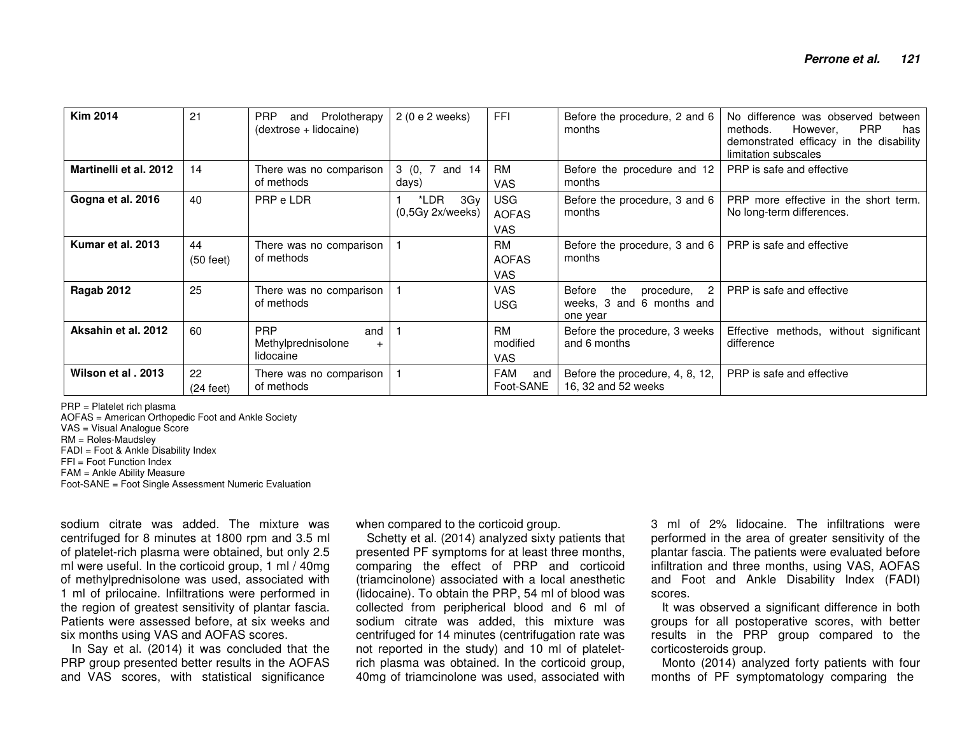| <b>Kim 2014</b>        | 21                        | <b>PRP</b><br>Prolotherapy<br>and<br>(dextrose + lidocaine) | 2 (0 e 2 weeks)                 | <b>FFI</b>                               | Before the procedure, 2 and 6<br>months                                | No difference was observed between<br><b>PRP</b><br>However,<br>methods.<br>has<br>demonstrated efficacy in the disability<br>limitation subscales |
|------------------------|---------------------------|-------------------------------------------------------------|---------------------------------|------------------------------------------|------------------------------------------------------------------------|----------------------------------------------------------------------------------------------------------------------------------------------------|
| Martinelli et al. 2012 | 14                        | There was no comparison<br>of methods                       | 3 (0, 7 and 14<br>days)         | RM<br><b>VAS</b>                         | Before the procedure and 12<br>months                                  | PRP is safe and effective                                                                                                                          |
| Gogna et al. 2016      | 40                        | PRP e LDR                                                   | *LDR<br>3Gy<br>(0,5Gy 2x/weeks) | <b>USG</b><br><b>AOFAS</b><br><b>VAS</b> | Before the procedure, 3 and 6<br>months                                | PRP more effective in the short term.<br>No long-term differences.                                                                                 |
| Kumar et al. 2013      | 44<br>$(50 \text{ feet})$ | There was no comparison<br>of methods                       |                                 | RM<br><b>AOFAS</b><br><b>VAS</b>         | Before the procedure, 3 and 6<br>months                                | PRP is safe and effective                                                                                                                          |
| Ragab 2012             | 25                        | There was no comparison<br>of methods                       |                                 | <b>VAS</b><br><b>USG</b>                 | the<br>Before<br>procedure, 2<br>weeks, 3 and 6 months and<br>one year | PRP is safe and effective                                                                                                                          |
| Aksahin et al. 2012    | 60                        | <b>PRP</b><br>and<br>Methylprednisolone<br>lidocaine        |                                 | RM<br>modified<br><b>VAS</b>             | Before the procedure, 3 weeks<br>and 6 months                          | Effective methods, without significant<br>difference                                                                                               |
| Wilson et al. 2013     | 22<br>$(24 \text{ feet})$ | There was no comparison<br>of methods                       |                                 | FAM<br>and<br>Foot-SANE                  | Before the procedure, 4, 8, 12,<br>16, 32 and 52 weeks                 | PRP is safe and effective                                                                                                                          |

PRP = Platelet rich plasma

 AOFAS = American Orthopedic Foot and Ankle Society VAS = Visual Analogue Score RM = Roles-Maudsley FADI = Foot & Ankle Disability Index FFI = Foot Function Index FAM = Ankle Ability Measure Foot-SANE = Foot Single Assessment Numeric Evaluation

sodium citrate was added. The mixture was centrifuged for 8 minutes at 1800 rpm and 3.5 ml of platelet-rich plasma were obtained, but only 2.5 ml were useful. In the corticoid group, 1 ml / 40mg of methylprednisolone was used, associated with 1 ml of prilocaine. Infiltrations were performed in the region of greatest sensitivity of plantar fascia. Patients were assessed before, at six weeks and six months using VAS and AOFAS scores.

 In Say et al. (2014) it was concluded that the PRP group presented better results in the AOFAS and VAS scores, with statistical significance

when compared to the corticoid group.

 Schetty et al. (2014) analyzed sixty patients that presented PF symptoms for at least three months, comparing the effect of PRP and corticoid (triamcinolone) associated with a local anesthetic (lidocaine). To obtain the PRP, 54 ml of blood was collected from peripherical blood and 6 ml of sodium citrate was added, this mixture was centrifuged for 14 minutes (centrifugation rate was not reported in the study) and 10 ml of plateletrich plasma was obtained. In the corticoid group, 40mg of triamcinolone was used, associated with

3 ml of 2% lidocaine. The infiltrations were performed in the area of greater sensitivity of the plantar fascia. The patients were evaluated before infiltration and three months, using VAS, AOFAS and Foot and Ankle Disability Index (FADI) scores.

 It was observed a significant difference in both groups for all postoperative scores, with better results in the PRP group compared to the corticosteroids group.

 Monto (2014) analyzed forty patients with four months of PF symptomatology comparing the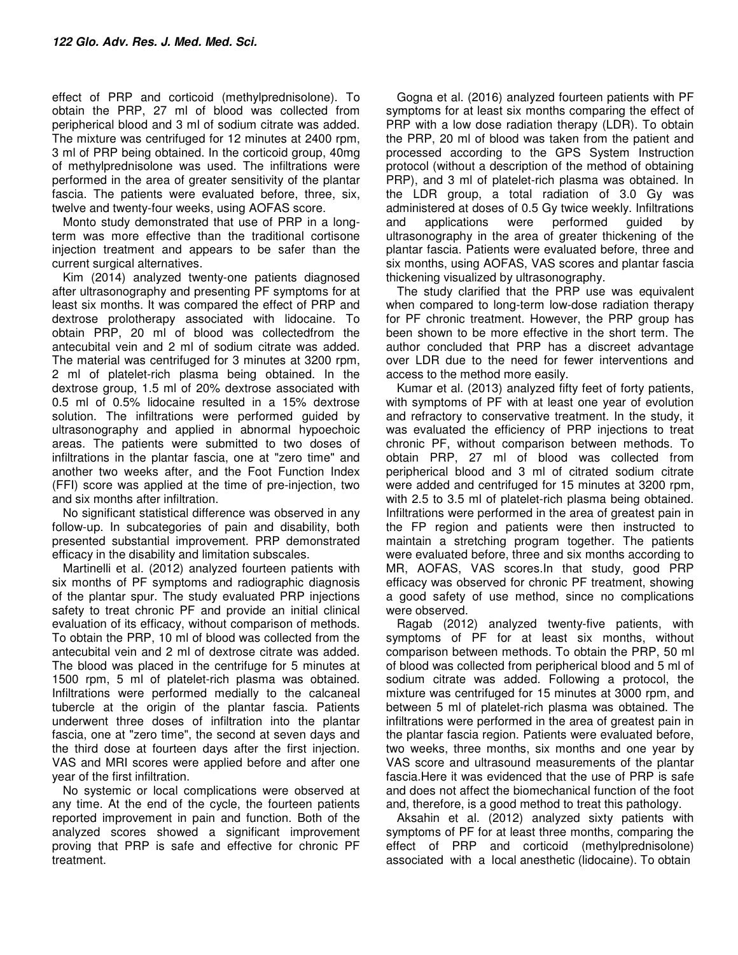effect of PRP and corticoid (methylprednisolone). To obtain the PRP, 27 ml of blood was collected from peripherical blood and 3 ml of sodium citrate was added. The mixture was centrifuged for 12 minutes at 2400 rpm, 3 ml of PRP being obtained. In the corticoid group, 40mg of methylprednisolone was used. The infiltrations were performed in the area of greater sensitivity of the plantar fascia. The patients were evaluated before, three, six, twelve and twenty-four weeks, using AOFAS score.

Monto study demonstrated that use of PRP in a longterm was more effective than the traditional cortisone injection treatment and appears to be safer than the current surgical alternatives.

Kim (2014) analyzed twenty-one patients diagnosed after ultrasonography and presenting PF symptoms for at least six months. It was compared the effect of PRP and dextrose prolotherapy associated with lidocaine. To obtain PRP, 20 ml of blood was collectedfrom the antecubital vein and 2 ml of sodium citrate was added. The material was centrifuged for 3 minutes at 3200 rpm, 2 ml of platelet-rich plasma being obtained. In the dextrose group, 1.5 ml of 20% dextrose associated with 0.5 ml of 0.5% lidocaine resulted in a 15% dextrose solution. The infiltrations were performed guided by ultrasonography and applied in abnormal hypoechoic areas. The patients were submitted to two doses of infiltrations in the plantar fascia, one at "zero time" and another two weeks after, and the Foot Function Index (FFI) score was applied at the time of pre-injection, two and six months after infiltration.

No significant statistical difference was observed in any follow-up. In subcategories of pain and disability, both presented substantial improvement. PRP demonstrated efficacy in the disability and limitation subscales.

Martinelli et al. (2012) analyzed fourteen patients with six months of PF symptoms and radiographic diagnosis of the plantar spur. The study evaluated PRP injections safety to treat chronic PF and provide an initial clinical evaluation of its efficacy, without comparison of methods. To obtain the PRP, 10 ml of blood was collected from the antecubital vein and 2 ml of dextrose citrate was added. The blood was placed in the centrifuge for 5 minutes at 1500 rpm, 5 ml of platelet-rich plasma was obtained. Infiltrations were performed medially to the calcaneal tubercle at the origin of the plantar fascia. Patients underwent three doses of infiltration into the plantar fascia, one at "zero time", the second at seven days and the third dose at fourteen days after the first injection. VAS and MRI scores were applied before and after one year of the first infiltration.

No systemic or local complications were observed at any time. At the end of the cycle, the fourteen patients reported improvement in pain and function. Both of the analyzed scores showed a significant improvement proving that PRP is safe and effective for chronic PF treatment.

Gogna et al. (2016) analyzed fourteen patients with PF symptoms for at least six months comparing the effect of PRP with a low dose radiation therapy (LDR). To obtain the PRP, 20 ml of blood was taken from the patient and processed according to the GPS System Instruction protocol (without a description of the method of obtaining PRP), and 3 ml of platelet-rich plasma was obtained. In the LDR group, a total radiation of 3.0 Gy was administered at doses of 0.5 Gy twice weekly. Infiltrations and applications were performed guided by ultrasonography in the area of greater thickening of the plantar fascia. Patients were evaluated before, three and six months, using AOFAS, VAS scores and plantar fascia thickening visualized by ultrasonography.

The study clarified that the PRP use was equivalent when compared to long-term low-dose radiation therapy for PF chronic treatment. However, the PRP group has been shown to be more effective in the short term. The author concluded that PRP has a discreet advantage over LDR due to the need for fewer interventions and access to the method more easily.

Kumar et al. (2013) analyzed fifty feet of forty patients, with symptoms of PF with at least one year of evolution and refractory to conservative treatment. In the study, it was evaluated the efficiency of PRP injections to treat chronic PF, without comparison between methods. To obtain PRP, 27 ml of blood was collected from peripherical blood and 3 ml of citrated sodium citrate were added and centrifuged for 15 minutes at 3200 rpm, with 2.5 to 3.5 ml of platelet-rich plasma being obtained. Infiltrations were performed in the area of greatest pain in the FP region and patients were then instructed to maintain a stretching program together. The patients were evaluated before, three and six months according to MR, AOFAS, VAS scores.In that study, good PRP efficacy was observed for chronic PF treatment, showing a good safety of use method, since no complications were observed.

Ragab (2012) analyzed twenty-five patients, with symptoms of PF for at least six months, without comparison between methods. To obtain the PRP, 50 ml of blood was collected from peripherical blood and 5 ml of sodium citrate was added. Following a protocol, the mixture was centrifuged for 15 minutes at 3000 rpm, and between 5 ml of platelet-rich plasma was obtained. The infiltrations were performed in the area of greatest pain in the plantar fascia region. Patients were evaluated before, two weeks, three months, six months and one year by VAS score and ultrasound measurements of the plantar fascia.Here it was evidenced that the use of PRP is safe and does not affect the biomechanical function of the foot and, therefore, is a good method to treat this pathology.

Aksahin et al. (2012) analyzed sixty patients with symptoms of PF for at least three months, comparing the effect of PRP and corticoid (methylprednisolone) associated with a local anesthetic (lidocaine). To obtain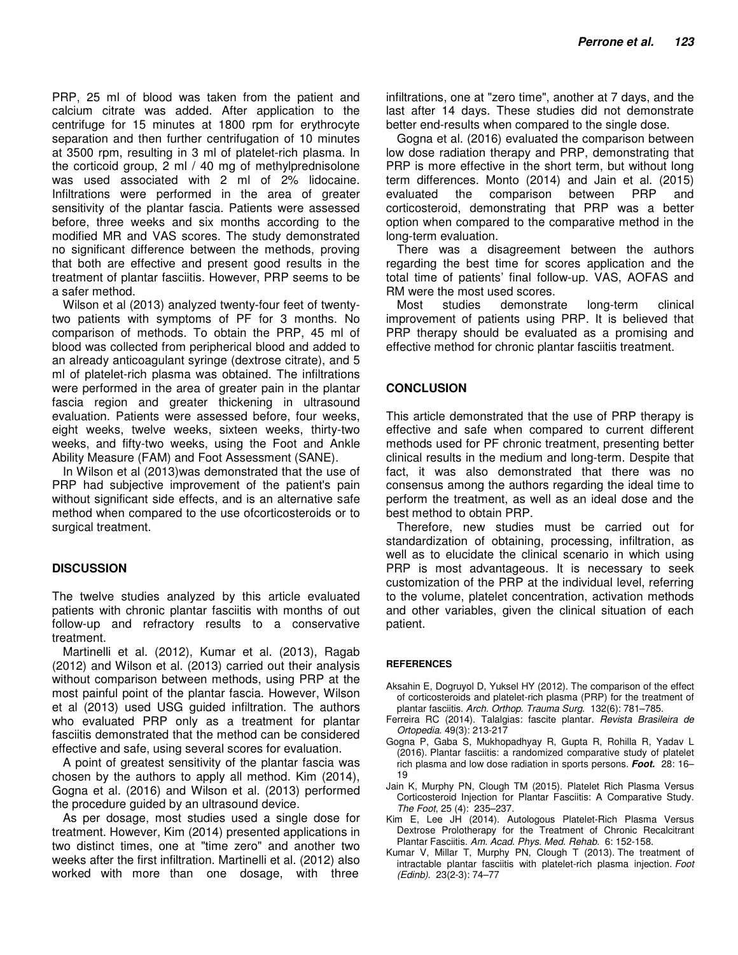PRP, 25 ml of blood was taken from the patient and calcium citrate was added. After application to the centrifuge for 15 minutes at 1800 rpm for erythrocyte separation and then further centrifugation of 10 minutes at 3500 rpm, resulting in 3 ml of platelet-rich plasma. In the corticoid group, 2 ml / 40 mg of methylprednisolone was used associated with 2 ml of 2% lidocaine. Infiltrations were performed in the area of greater sensitivity of the plantar fascia. Patients were assessed before, three weeks and six months according to the modified MR and VAS scores. The study demonstrated no significant difference between the methods, proving that both are effective and present good results in the treatment of plantar fasciitis. However, PRP seems to be a safer method.

Wilson et al (2013) analyzed twenty-four feet of twentytwo patients with symptoms of PF for 3 months. No comparison of methods. To obtain the PRP, 45 ml of blood was collected from peripherical blood and added to an already anticoagulant syringe (dextrose citrate), and 5 ml of platelet-rich plasma was obtained. The infiltrations were performed in the area of greater pain in the plantar fascia region and greater thickening in ultrasound evaluation. Patients were assessed before, four weeks, eight weeks, twelve weeks, sixteen weeks, thirty-two weeks, and fifty-two weeks, using the Foot and Ankle Ability Measure (FAM) and Foot Assessment (SANE).

In Wilson et al (2013)was demonstrated that the use of PRP had subjective improvement of the patient's pain without significant side effects, and is an alternative safe method when compared to the use ofcorticosteroids or to surgical treatment.

## **DISCUSSION**

The twelve studies analyzed by this article evaluated patients with chronic plantar fasciitis with months of out follow-up and refractory results to a conservative treatment.

Martinelli et al. (2012), Kumar et al. (2013), Ragab (2012) and Wilson et al. (2013) carried out their analysis without comparison between methods, using PRP at the most painful point of the plantar fascia. However, Wilson et al (2013) used USG guided infiltration. The authors who evaluated PRP only as a treatment for plantar fasciitis demonstrated that the method can be considered effective and safe, using several scores for evaluation.

A point of greatest sensitivity of the plantar fascia was chosen by the authors to apply all method. Kim (2014), Gogna et al. (2016) and Wilson et al. (2013) performed the procedure guided by an ultrasound device.

As per dosage, most studies used a single dose for treatment. However, Kim (2014) presented applications in two distinct times, one at "time zero" and another two weeks after the first infiltration. Martinelli et al. (2012) also worked with more than one dosage, with three

infiltrations, one at "zero time", another at 7 days, and the last after 14 days. These studies did not demonstrate better end-results when compared to the single dose.

Gogna et al. (2016) evaluated the comparison between low dose radiation therapy and PRP, demonstrating that PRP is more effective in the short term, but without long term differences. Monto (2014) and Jain et al. (2015) evaluated the comparison between PRP and corticosteroid, demonstrating that PRP was a better option when compared to the comparative method in the long-term evaluation.

There was a disagreement between the authors regarding the best time for scores application and the total time of patients' final follow-up. VAS, AOFAS and RM were the most used scores.

Most studies demonstrate long-term clinical improvement of patients using PRP. It is believed that PRP therapy should be evaluated as a promising and effective method for chronic plantar fasciitis treatment.

#### **CONCLUSION**

This article demonstrated that the use of PRP therapy is effective and safe when compared to current different methods used for PF chronic treatment, presenting better clinical results in the medium and long-term. Despite that fact, it was also demonstrated that there was no consensus among the authors regarding the ideal time to perform the treatment, as well as an ideal dose and the best method to obtain PRP.

Therefore, new studies must be carried out for standardization of obtaining, processing, infiltration, as well as to elucidate the clinical scenario in which using PRP is most advantageous. It is necessary to seek customization of the PRP at the individual level, referring to the volume, platelet concentration, activation methods and other variables, given the clinical situation of each patient.

#### **REFERENCES**

- Aksahin E, Dogruyol D, Yuksel HY (2012). The comparison of the effect of corticosteroids and platelet-rich plasma (PRP) for the treatment of plantar fasciitis. Arch. Orthop. Trauma Surg. 132(6): 781–785.
- Ferreira RC (2014). Talalgias: fascite plantar. Revista Brasileira de Ortopedia. 49(3): 213-217
- Gogna P, Gaba S, Mukhopadhyay R, Gupta R, Rohilla R, Yadav L (2016). Plantar fasciitis: a randomized comparative study of platelet rich plasma and low dose radiation in sports persons. **Foot.** 28: 16– 19
- Jain K, Murphy PN, Clough TM (2015). Platelet Rich Plasma Versus Corticosteroid Injection for Plantar Fasciitis: A Comparative Study. The Foot, 25 (4): 235–237.
- Kim E, Lee JH (2014). Autologous Platelet-Rich Plasma Versus Dextrose Prolotherapy for the Treatment of Chronic Recalcitrant Plantar Fasciitis. Am. Acad. Phys. Med. Rehab. 6: 152-158.
- Kumar V, Millar T, Murphy PN, Clough T (2013). The treatment of intractable plantar fasciitis with platelet-rich plasma injection. Foot (Edinb). 23(2-3): 74–77